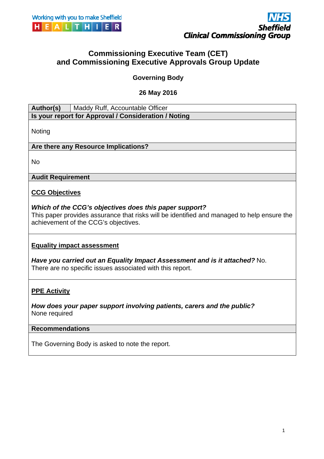



# **Commissioning Executive Team (CET) and Commissioning Executive Approvals Group Update**

**Governing Body** 

**26 May 2016** 

### Author(s) | Maddy Ruff, Accountable Officer **Is your report for Approval / Consideration / Noting**

Noting

**Are there any Resource Implications?** 

No

### **Audit Requirement**

### **CCG Objectives**

### *Which of the CCG's objectives does this paper support?*

This paper provides assurance that risks will be identified and managed to help ensure the achievement of the CCG's objectives.

### **Equality impact assessment**

*Have you carried out an Equality Impact Assessment and is it attached?* No. There are no specific issues associated with this report.

# **PPE Activity**

*How does your paper support involving patients, carers and the public?*  None required

### **Recommendations**

The Governing Body is asked to note the report.